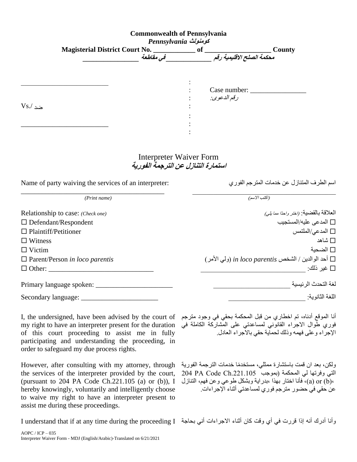| <b>Commonwealth of Pennsylvania</b><br>Pennsylvania كومنولث                                                                                                                                                                                                                                                                 |                                                                                                                                                                                                                                                      |
|-----------------------------------------------------------------------------------------------------------------------------------------------------------------------------------------------------------------------------------------------------------------------------------------------------------------------------|------------------------------------------------------------------------------------------------------------------------------------------------------------------------------------------------------------------------------------------------------|
|                                                                                                                                                                                                                                                                                                                             |                                                                                                                                                                                                                                                      |
|                                                                                                                                                                                                                                                                                                                             |                                                                                                                                                                                                                                                      |
|                                                                                                                                                                                                                                                                                                                             |                                                                                                                                                                                                                                                      |
|                                                                                                                                                                                                                                                                                                                             | Case number:                                                                                                                                                                                                                                         |
|                                                                                                                                                                                                                                                                                                                             | ر قم الدعوى:                                                                                                                                                                                                                                         |
| $Vs/$ ضد                                                                                                                                                                                                                                                                                                                    |                                                                                                                                                                                                                                                      |
|                                                                                                                                                                                                                                                                                                                             |                                                                                                                                                                                                                                                      |
|                                                                                                                                                                                                                                                                                                                             |                                                                                                                                                                                                                                                      |
|                                                                                                                                                                                                                                                                                                                             |                                                                                                                                                                                                                                                      |
|                                                                                                                                                                                                                                                                                                                             | <b>Interpreter Waiver Form</b><br>استمارة التنازل عن الترجمة الفورية                                                                                                                                                                                 |
| Name of party waiving the services of an interpreter:                                                                                                                                                                                                                                                                       | اسم الطرف المتنازل عن خدمات المترجم الفوري                                                                                                                                                                                                           |
|                                                                                                                                                                                                                                                                                                                             |                                                                                                                                                                                                                                                      |
| (Print name)                                                                                                                                                                                                                                                                                                                | (اكتب الاسم)                                                                                                                                                                                                                                         |
| Relationship to case: (Check one)                                                                                                                                                                                                                                                                                           | العلاقة بالقضية: (اختر واحدًا مها يلي)                                                                                                                                                                                                               |
| $\Box$ Defendant/Respondent                                                                                                                                                                                                                                                                                                 | المدعى عليه/المستجيب $\square$                                                                                                                                                                                                                       |
| $\Box$ Plaintiff/Petitioner                                                                                                                                                                                                                                                                                                 | □ المدعى/الملتمس                                                                                                                                                                                                                                     |
| $\Box$ Witness                                                                                                                                                                                                                                                                                                              | □ شاهد                                                                                                                                                                                                                                               |
| $\Box$ Victim                                                                                                                                                                                                                                                                                                               | □ الضحبة                                                                                                                                                                                                                                             |
| $\Box$ Parent/Person in loco parentis                                                                                                                                                                                                                                                                                       | □ أحد الوالدين / الشخص in loco parentis (ولي الأمر)                                                                                                                                                                                                  |
| $\Box$ Other:                                                                                                                                                                                                                                                                                                               | □ غير ذلك:                                                                                                                                                                                                                                           |
|                                                                                                                                                                                                                                                                                                                             | لغة التحدث الر ئيسية                                                                                                                                                                                                                                 |
|                                                                                                                                                                                                                                                                                                                             | اللغة الثانوية:                                                                                                                                                                                                                                      |
| Secondary language:                                                                                                                                                                                                                                                                                                         |                                                                                                                                                                                                                                                      |
| I, the undersigned, have been advised by the court of<br>my right to have an interpreter present for the duration<br>of this court proceeding to assist me in fully<br>participating and understanding the proceeding, in<br>order to safeguard my due process rights.                                                      | أنا الموقع أدناه، تم اخطاري من قبل المحكمة بحقي في وجود مترجم<br>فوري طوال الاجراء القانوني لمساعدتي على المشاركة الكاملة في<br>الإجراء وعلى فهمه وذلك لحماية حقى بالاجراء العادل.                                                                   |
| However, after consulting with my attorney, through<br>the services of the interpreter provided by the court,<br>(pursuant to 204 PA Code Ch.221.105 (a) or (b)), I<br>hereby knowingly, voluntarily and intelligently choose<br>to waive my right to have an interpreter present to<br>assist me during these proceedings. | ولكن، بعد ان قمت باستشارة ممثلي، مستخدمًا خدمات الترجمة الفورية<br>التي وفرتها لي المحكمة (بموجب 204 PA Code Ch.221.105<br>6(a) or (b). فأنا اختار بهذا ،بدراية وبشكل طوعي وعن فهم، التنازل<br>عن حقي في حضور  مترجم فور ي لمساعدتي أثناء الإجراءات. |

وأنا أدرك أنه إذا قررت في أي وقت كان أثناء الاجراءات أني بحاجة I understand that if at any time during the proceeding I